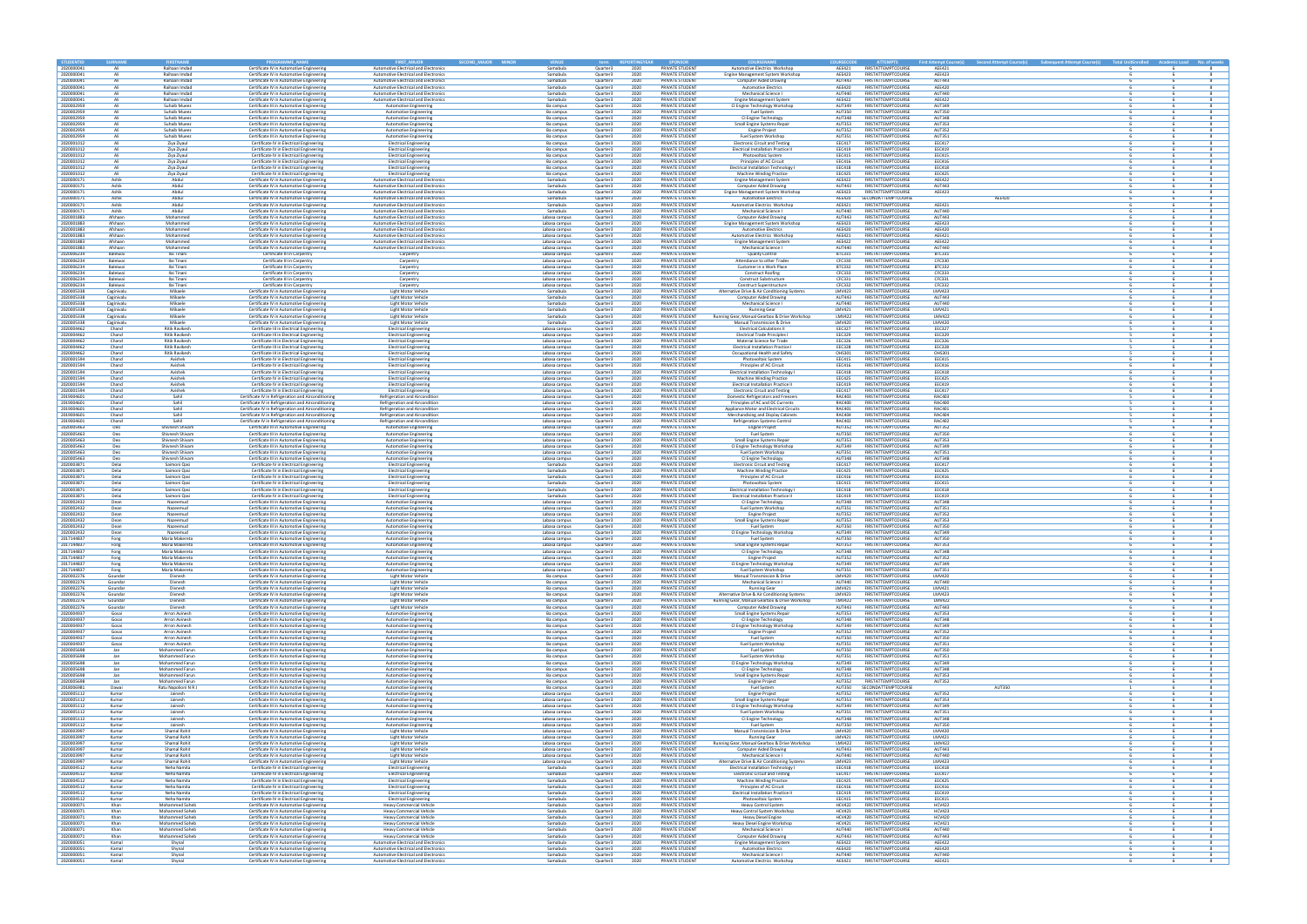

|               | Attempt Course(s) Subsequent Attempt Course(s) Total UnitEnrolled Academic Load No. of weeks |                       |                          |                              |
|---------------|----------------------------------------------------------------------------------------------|-----------------------|--------------------------|------------------------------|
|               |                                                                                              | 6<br>6                | 6<br>6                   | 8<br>8                       |
|               |                                                                                              | 6                     | 6                        | 8                            |
|               |                                                                                              | 6<br>6                | 6<br>$\sqrt{6}$          | 8<br>8                       |
|               |                                                                                              | 6                     | $\sqrt{6}$               | $\bf{8}$                     |
|               |                                                                                              | 6                     | 6                        | 8                            |
|               |                                                                                              | 6<br>6                | 6<br>6                   | 8<br>8                       |
|               |                                                                                              | 6<br>6                | $\sqrt{6}$<br>6          | 8<br>8                       |
|               |                                                                                              | 6                     | 6                        | 8                            |
|               |                                                                                              | 6                     | 6                        | 8                            |
|               |                                                                                              | 6<br>6                | 6<br>6                   | 8<br>8                       |
|               |                                                                                              | 6                     | 6                        | 8                            |
|               |                                                                                              | 6<br>6                | 6<br>6                   | 8<br>8                       |
|               |                                                                                              | 6                     | 6                        | 8                            |
|               |                                                                                              | 6<br>6                | 6<br>6                   | 8<br>8                       |
| <b>AEE420</b> |                                                                                              | 6                     | 6                        | 8                            |
|               |                                                                                              | 6<br>6                | 6<br>6                   | 8<br>8                       |
|               |                                                                                              | 6                     | 6                        | 8<br>8                       |
|               |                                                                                              | 6<br>6                | 6<br>$\sqrt{6}$          | 8                            |
|               |                                                                                              | 6                     | 6                        | 8                            |
|               |                                                                                              | 6<br>6                | 6<br>$\sqrt{6}$          | 8<br>8                       |
|               |                                                                                              | 6                     | 6                        | 8                            |
|               |                                                                                              | 6<br>6                | 6<br>6                   | 8<br>8                       |
|               |                                                                                              | 6                     | 6                        | 8                            |
|               |                                                                                              | 6<br>6                | 6<br>6                   | 8<br>8                       |
|               |                                                                                              | 6                     | 6                        | 8                            |
|               |                                                                                              | 6<br>6                | 6<br>6                   | 8<br>$\overline{\mathbf{8}}$ |
|               |                                                                                              | 6                     | 6                        | 8                            |
|               |                                                                                              | 6<br>6                | 6<br>6                   | 8<br>8                       |
|               |                                                                                              | 5                     | 6                        | 8                            |
|               |                                                                                              | 5<br>5                | $\sqrt{6}$<br>6          | 8<br>8                       |
|               |                                                                                              | 5                     | 6                        | 8                            |
|               |                                                                                              | 5<br>6                | $\sqrt{6}$<br>6          | 8<br>8                       |
|               |                                                                                              | 6                     | 6                        | 8                            |
|               |                                                                                              | 6<br>6                | 6<br>6                   | 8<br>8                       |
|               |                                                                                              | 6                     | $\overline{6}$           | 8                            |
|               |                                                                                              | 6<br>5                | 6<br>6                   | 8<br>8                       |
|               |                                                                                              | 5                     | 6                        | 8                            |
|               |                                                                                              | 5<br>5                | 6<br>6                   | $\overline{\mathbf{8}}$<br>8 |
|               |                                                                                              | 5                     | 6                        | 8                            |
|               |                                                                                              | 6                     | 6<br>6                   | 8<br>8                       |
|               |                                                                                              | 6<br>6                | 6                        | 8                            |
|               |                                                                                              | 6                     | 6                        | 8                            |
|               |                                                                                              | 6<br>6                | 6<br>6                   | 8<br>8                       |
|               |                                                                                              | 6<br>6                | 6<br>6                   | 8<br>8                       |
|               |                                                                                              | 6                     | 6                        | 8                            |
|               |                                                                                              | 6<br>6                | 6<br>$\overline{6}$      | 8<br>8                       |
|               |                                                                                              | 6                     | 6                        | 8                            |
|               |                                                                                              | 6<br>6                | 6<br>$\sqrt{6}$          | 8<br>8                       |
|               |                                                                                              | 6                     | $\sqrt{6}$               | $\bf{8}$                     |
|               |                                                                                              | 6<br>6                | 6<br>6                   | 8<br>8                       |
|               |                                                                                              | 6                     | 6                        | 8                            |
|               |                                                                                              | 6<br>6                | 6<br>6                   | 8<br>8                       |
|               |                                                                                              | 6                     | 6                        | 8                            |
|               |                                                                                              | 6<br>6                | 6<br>6                   | 8<br>8                       |
|               |                                                                                              | 6                     | 6                        | 8                            |
|               |                                                                                              | 6                     | 6                        | 8                            |
|               |                                                                                              | $6 \overline{6}$<br>6 | 6<br>6                   | 8<br>8                       |
|               |                                                                                              | 6                     | 6                        | 8                            |
|               |                                                                                              | 6<br>6                | 6<br>6                   | 8<br>8                       |
|               |                                                                                              | 6<br>6                | $\sqrt{6}$<br>$\sqrt{6}$ | 8<br>$\bf{8}$                |
|               |                                                                                              | 6                     | 6                        | 8                            |
|               |                                                                                              | 6<br>6                | 6<br>6                   | 8<br>8                       |
|               |                                                                                              | 6                     | $\sqrt{6}$               | 8                            |
|               |                                                                                              | 6<br>6                | 6<br>6                   | 8<br>8                       |
|               |                                                                                              | 6                     | 6                        | 8                            |
|               |                                                                                              | 6<br>6                | 6<br>6                   | 8<br>8                       |
|               |                                                                                              | 6                     | 6                        | 8                            |
| <b>AUT350</b> |                                                                                              | $\overline{1}$<br>6   | 6<br>6                   | 8<br>8                       |
|               |                                                                                              | 6                     | 6                        | 8                            |
|               |                                                                                              | 6                     | 6                        | 8<br>8                       |
|               |                                                                                              | 6<br>6                | 6<br>6                   | 8                            |
|               |                                                                                              | 6<br>6                | $\sqrt{6}$<br>6          | 8<br>8                       |
|               |                                                                                              | 6                     | 6                        | 8                            |
|               |                                                                                              | 6<br>6                | 6<br>$\overline{6}$      | 8<br>8                       |
|               |                                                                                              | 6                     | 6                        | 8                            |
|               |                                                                                              | 6                     | 6                        | 8                            |
|               |                                                                                              | 6<br>6                | $\overline{6}$<br>6      | 8<br>$\bf{8}$                |
|               |                                                                                              | 6                     | 6                        | 8                            |
|               |                                                                                              | 6<br>$6 \overline{}$  | 6<br>6                   | 8<br>8                       |
|               |                                                                                              | 6                     | 6                        | 8                            |
|               |                                                                                              | 6<br>6                | 6<br>6                   | 8<br>8                       |
|               |                                                                                              | 6                     | 6                        | 8                            |
|               |                                                                                              | 6<br>6                | 6<br>6                   | $\overline{\mathbf{8}}$<br>8 |
|               |                                                                                              | 6                     | 6                        | 8                            |
|               |                                                                                              | 6<br>6                | 6<br>6                   | 8<br>8                       |
|               |                                                                                              | 6                     | 6                        | 8                            |
|               |                                                                                              | 6                     | 6                        | 8                            |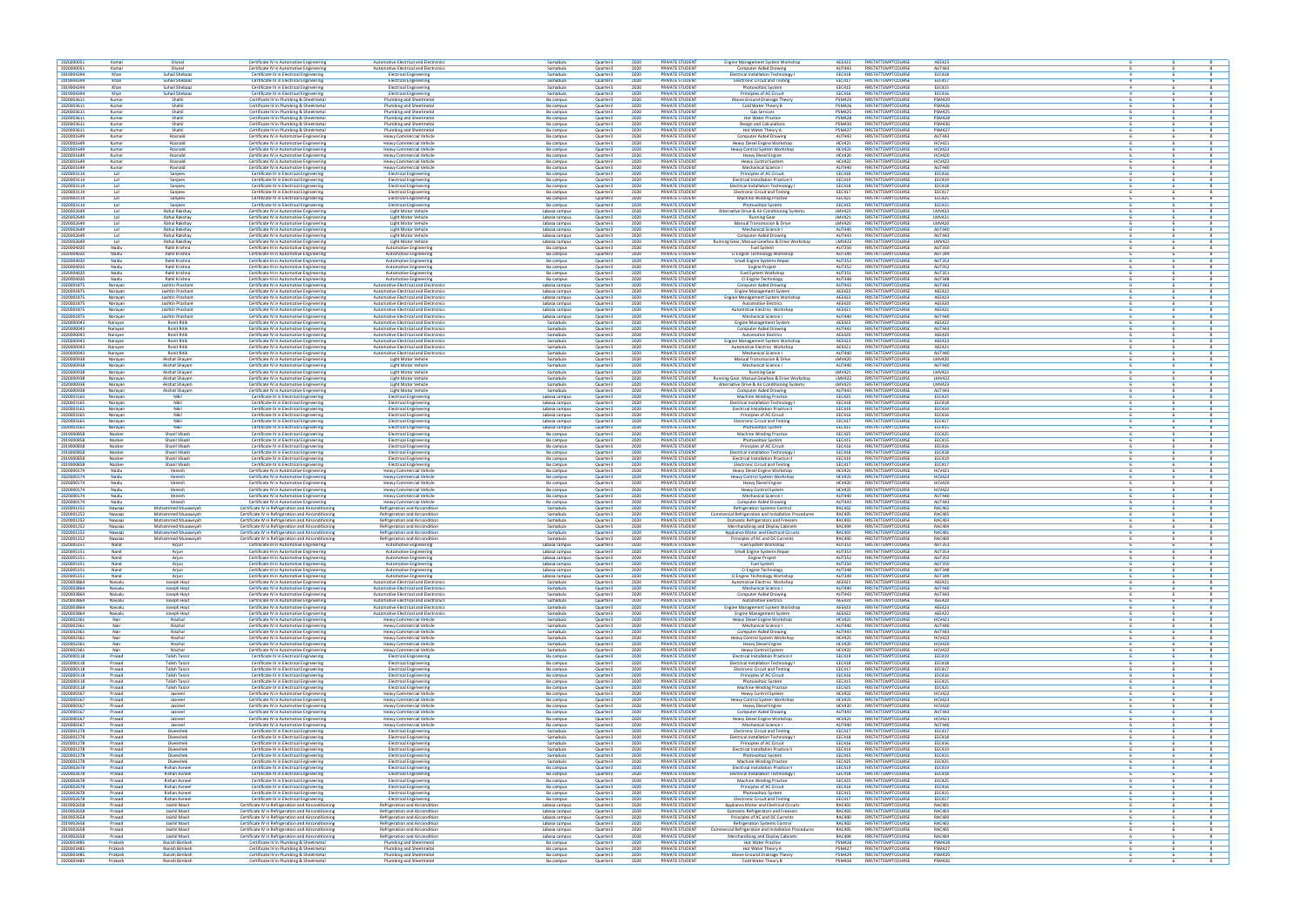

| 6              | 6                            | 8                            |
|----------------|------------------------------|------------------------------|
| 6              | 6                            | 8                            |
| 4              | 6                            | 8                            |
| 4              | 6                            | 8                            |
| 4              | 6                            | 8                            |
| $\overline{4}$ | 6                            | 8                            |
| 6              | 6                            | 8                            |
| 6              | 6                            | 8                            |
| 6              | 6                            | 8                            |
| 6              | 6                            | 8                            |
| 6              | 6                            | 8                            |
| 6              | 6                            | 8                            |
| 6              | 6                            | 8                            |
| 6              | 6                            | 8                            |
| 6              | 6<br>6                       | 8                            |
| 6<br>6         | 6                            | 8<br>8                       |
|                |                              |                              |
| 6<br>6         | 6<br>6                       | 8<br>8                       |
| 6              | 6                            | 8                            |
| 6              | 6                            | 8                            |
| 6              | 6                            | 8                            |
| 6              | 6                            | 8                            |
| 6              | 6                            | $\overline{\mathbf{8}}$      |
| 6              | 6                            | 8                            |
| 6              | 6                            | 8                            |
| 6              | 6                            | 8                            |
| 6              | 6                            | 8                            |
| 6              | 6                            | 8                            |
| 6<br>6         | 6<br>6                       | 8<br>8                       |
| 6              | 6                            | 8                            |
| 6              | 6                            | 8                            |
| 6              | 6                            | 8                            |
| 6              | 6                            | 8                            |
| 6              | 6                            | 8                            |
| 6              | 6                            | 8                            |
| 6              | 6                            | 8                            |
| 6              | 6                            | 8                            |
| 6              | 6                            | 8                            |
| 6              | $\overline{\mathbf{6}}$      | $\overline{\mathbf{8}}$      |
| 6              | 6                            | 8                            |
| 6              | 6                            | 8                            |
| 6<br>6         | 6<br>6                       | 8<br>8                       |
| 6              | 6                            | 8                            |
| 6              | 6                            | 8                            |
| 6              | 6                            | 8                            |
| 6              | 6                            | 8                            |
| 6              | 6                            | 8                            |
| 6              | 6                            | 8                            |
| 6              | 6                            | 8                            |
| 6              | 6                            | 8                            |
| 6              | 6                            | 8                            |
| 6              | 6                            | 8                            |
| 6              | 6                            | 8                            |
| 6<br>6         | 6<br>$\overline{\mathbf{6}}$ | 8<br>$\overline{\mathbf{8}}$ |
| 6              | 6                            | 8                            |
| 6              | 6                            | 8                            |
| 6              | 6                            | 8                            |
| 6              | 6                            | 8                            |
|                |                              |                              |
| 6              | 6                            | 8                            |
| 6              | 6                            | 8                            |
| 6              | 6                            | 8                            |
| 6              | 6                            | 8                            |
| 6              | 6                            | 8                            |
| 6              | 6                            | 8                            |
| 6              | 6                            | 8                            |
| 6              | 6                            | 8                            |
| 6              | 6                            | 8                            |
| 6              | 6                            | 8                            |
| 6              | 6                            | 8<br>8                       |
| 6<br>6         | 6<br>6                       | 8                            |
| 6              | 6                            | 8                            |
| 6              | 6                            | 8                            |
| 6              | 6                            | 8                            |
| 6              | 6                            | 8                            |
| 6              | 6                            | 8                            |
| 6              | 6                            | 8                            |
| 6              | 6                            | 8                            |
| 6              | 6                            | 8                            |
| 6              | 6                            | 8                            |
| 6              | 6                            | 8                            |
| 6              | 6<br>6                       | 8<br>8                       |
| 6<br>6         | 6                            | 8                            |
| 6              | 6                            | 8                            |
| 6              | 6                            | 8                            |
| 6              | 6                            | $\overline{\mathbf{8}}$      |
| 6              | 6                            | 8                            |
| 6              | 6                            | 8                            |
| 6              | 6                            | 8                            |
| 6<br>6         | 6<br>6                       | 8<br>8                       |
| 6              | 6                            | 8                            |
| 6              | 6                            | 8                            |
| 6              | 6                            | 8                            |
| 6              | 6                            | $\overline{\mathbf{8}}$      |
| 6              | 6                            | 8                            |
| 6              | 6                            | 8                            |
| 6              | 6                            | 8                            |
| 6              | 6                            | 8                            |
| 6              | 6                            | 8                            |
| 6              | 6                            | 8                            |
| 6<br>6         | 6<br>6                       | 8<br>$\overline{\mathbf{8}}$ |
| 6              | 6                            | 8                            |
| 6              | 6                            | 8                            |
| 6              | 6                            | 8                            |
| 6              | 6                            | 8                            |
| 6              | 6                            | 8                            |
| 6              | 6                            | 8                            |
| 6              | 6                            | 8                            |
| 6              | 6                            | 8                            |
| 6              | 6                            | 8                            |
| 6              | 6                            | 8                            |
| 6              | 6                            | 8                            |
| 6              | 6                            | 8<br>8                       |
| 6<br>6         | 6<br>6                       | 8                            |
| 6              | 6                            | 8                            |
| 6              | 6                            | 8                            |
| 6              | $\overline{\mathbf{6}}$      | $\bf{8}$                     |
| 6              | 6                            | 8                            |
| 6              | 6                            | 8                            |
| 6<br>6         | 6<br>6                       | 8<br>8                       |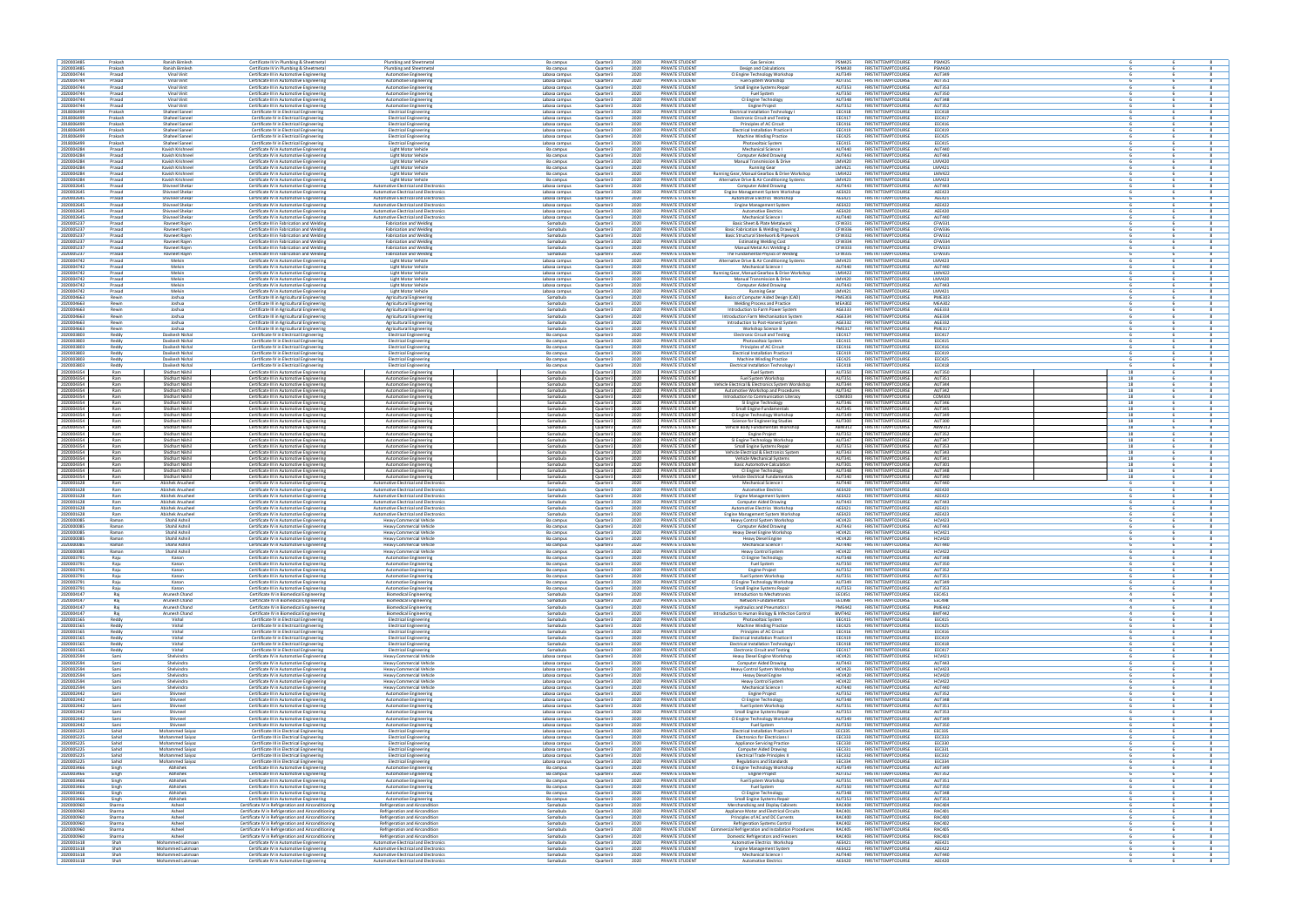

|          |                     | 8                            |
|----------|---------------------|------------------------------|
| 6        | 6                   |                              |
| 6<br>6   | 6<br>6              | $\overline{\mathbf{8}}$<br>8 |
| 6        | 6                   | 8                            |
| 6        | 6                   | 8                            |
| 6        | 6                   | 8                            |
| 6        | $\overline{6}$      | 8                            |
| 6<br>6   | 6<br>6              | 8<br>8                       |
| 6        | $\overline{6}$      | 8                            |
| 6        | 6                   | 8                            |
| 6        | 6                   | 8                            |
| 6        | 6                   | 8                            |
| 6        | 6                   | 8                            |
| 6        | 6                   | $\overline{\mathbf{8}}$      |
| 6        | 6<br>6              | 8<br>8                       |
| 6<br>6   | 6                   | 8                            |
| 6        | 6                   | $\overline{\mathbf{8}}$      |
| 6        | 6                   | 8                            |
| 6        | 6                   | 8                            |
| 6        | 6                   | 8                            |
| 6<br>6   | 6<br>6              | 8<br>8                       |
| 6        | 6                   | 8                            |
| 6        | 6                   | 8                            |
| 6        | 6                   | 8                            |
| 6        | 6                   | 8                            |
| 6        | 6                   | 8                            |
| 6<br>6   | 6<br>6              | 8<br>8                       |
| 6        | 6                   | 8                            |
| 6        | 6                   | 8                            |
| 6        | 6                   | 8                            |
| 6        | 6                   | 8                            |
| 6        | 6                   | $\overline{\mathbf{8}}$      |
| 6        | 6                   | 8                            |
| 6<br>6   | 6<br>6              | 8<br>8                       |
| 6        | 6                   | $\overline{\mathbf{8}}$      |
| 6        | 6                   | 8                            |
| 6        | 6                   | 8                            |
| 6        | 6                   | 8                            |
| 6        | 6                   | $\overline{\mathbf{8}}$      |
| 6        | 6                   | 8                            |
| 6<br>6   | 6<br>6              | 8<br>8                       |
| 6        | 6                   | 8                            |
| 6        | 6                   | 8                            |
| 6        | 6                   | 8                            |
| 18       | 6                   | 8                            |
| 18       | 6                   | 8                            |
| 18<br>18 | 6<br>6              | 8<br>8                       |
| 18       | 6                   | 8                            |
| 18       | 6                   | 8                            |
| 18       | 6                   | 8                            |
| 18       | 6                   | 8                            |
| 18       | 6                   | 8                            |
| 18<br>18 | 6<br>6              | 8<br>$\overline{\mathbf{8}}$ |
| 18       | 6                   | 8                            |
|          |                     |                              |
|          |                     |                              |
| 18       | 6                   | 8                            |
| 18<br>18 | 6<br>6              | 8<br>$\overline{\mathbf{8}}$ |
| 18       | 6                   | 8                            |
| 18       | 6                   | 8                            |
| 18       | 6                   | 8                            |
| 6<br>6   | 6                   | 8                            |
| 6        | 6<br>6              | 8<br>8                       |
| 6        | 6                   | 8                            |
| 6        | 6                   | 8                            |
| 6        | $\overline{6}$      | 8                            |
| 6        | 6                   | 8                            |
| 6        | 6                   | 8                            |
| 6<br>6   | 6<br>6              | 8<br>$\overline{\mathbf{8}}$ |
| 6        | 6                   | 8                            |
| 6        | 6                   | 8                            |
| 6        | 6                   | 8                            |
| 6        | 6                   | $\overline{\mathbf{8}}$      |
| 6        | 6                   | 8                            |
| 6<br>6   | 6<br>6              | 8<br>8                       |
| 6        | 6                   | $\overline{\mathbf{8}}$      |
| 4        | 6                   | 8                            |
| 4        | 6                   | 8                            |
| 4<br>4   | 6                   | 8                            |
| 6        | 6<br>6              | 8<br>8                       |
| 6        | 6                   | 8                            |
| 6        | 6                   | 8                            |
| 6        | 6                   | 8                            |
| 6        | 6                   | 8                            |
| 6        | 6                   | 8                            |
| 6        | 6                   | 8                            |
| 6<br>6   | 6<br>6              | 8<br>8                       |
| 6        | 6                   | 8                            |
| 6        | 6                   | 8                            |
| 6        | 6                   | 8                            |
| 6        | 6                   | $\overline{\mathbf{8}}$      |
| 6<br>6   | 6<br>6              | 8<br>8                       |
| 6        | 6                   | 8                            |
| 6        | 6                   | 8                            |
| 6        | 6                   | 8                            |
| 6        | 6                   | 8                            |
| 6<br>6   | 6                   | 8<br>8                       |
| 6        | 6<br>6              | 8                            |
| 6        | 6                   | 8                            |
| 6        | 6                   | 8                            |
| 6        | 6                   | 8                            |
| 6        | 6                   | 8                            |
| 6        | 6                   | 8                            |
| 6        | 6                   | 8                            |
| 6<br>6   | 6<br>6              | 8<br>$\overline{\mathbf{8}}$ |
| 6        | 6                   | 8                            |
| 6        | 6                   | 8                            |
| 6        | 6                   | 8                            |
| 6        | 6                   | $\overline{\mathbf{8}}$      |
| 6        | 6                   | 8                            |
| 6<br>6   | 6<br>6              | 8<br>8                       |
| 6        | 6                   | $\overline{\mathbf{8}}$      |
| 6<br>6   | 6<br>$\overline{6}$ | 8<br>8                       |